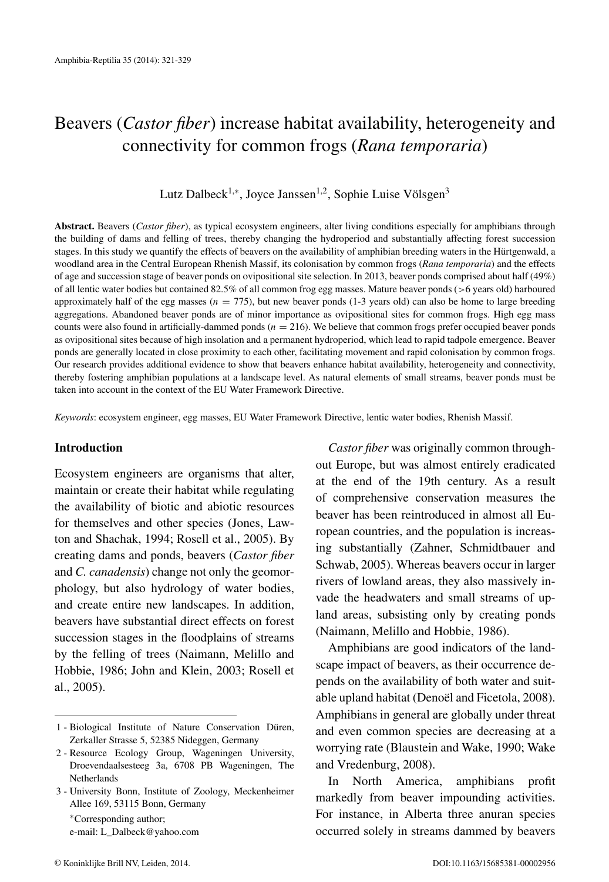# Beavers (*Castor fiber*) increase habitat availability, heterogeneity and connectivity for common frogs (*Rana temporaria*)

Lutz Dalbeck<sup>1,∗</sup>, Joyce Janssen<sup>1,2</sup>, Sophie Luise Völsgen<sup>3</sup>

**Abstract.** Beavers (*Castor fiber*), as typical ecosystem engineers, alter living conditions especially for amphibians through the building of dams and felling of trees, thereby changing the hydroperiod and substantially affecting forest succession stages. In this study we quantify the effects of beavers on the availability of amphibian breeding waters in the Hürtgenwald, a woodland area in the Central European Rhenish Massif, its colonisation by common frogs (*Rana temporaria*) and the effects of age and succession stage of beaver ponds on ovipositional site selection. In 2013, beaver ponds comprised about half (49%) of all lentic water bodies but contained 82.5% of all common frog egg masses. Mature beaver ponds (*>*6 years old) harboured approximately half of the egg masses ( $n = 775$ ), but new beaver ponds (1-3 years old) can also be home to large breeding aggregations. Abandoned beaver ponds are of minor importance as ovipositional sites for common frogs. High egg mass counts were also found in artificially-dammed ponds  $(n = 216)$ . We believe that common frogs prefer occupied beaver ponds as ovipositional sites because of high insolation and a permanent hydroperiod, which lead to rapid tadpole emergence. Beaver ponds are generally located in close proximity to each other, facilitating movement and rapid colonisation by common frogs. Our research provides additional evidence to show that beavers enhance habitat availability, heterogeneity and connectivity, thereby fostering amphibian populations at a landscape level. As natural elements of small streams, beaver ponds must be taken into account in the context of the EU Water Framework Directive.

*Keywords*: ecosystem engineer, egg masses, EU Water Framework Directive, lentic water bodies, Rhenish Massif.

## **Introduction**

Ecosystem engineers are organisms that alter, maintain or create their habitat while regulating the availability of biotic and abiotic resources for themselves and other species (Jones, Lawton and Shachak, 1994; Rosell et al., 2005). By creating dams and ponds, beavers (*Castor fiber* and *C. canadensis*) change not only the geomorphology, but also hydrology of water bodies, and create entire new landscapes. In addition, beavers have substantial direct effects on forest succession stages in the floodplains of streams by the felling of trees (Naimann, Melillo and Hobbie, 1986; John and Klein, 2003; Rosell et al., 2005).

<sup>∗</sup>Corresponding author; e-mail: [L\\_Dalbeck@yahoo.com](mailto:L_Dalbeck@yahoo.com)

*Castor fiber* was originally common throughout Europe, but was almost entirely eradicated at the end of the 19th century. As a result of comprehensive conservation measures the beaver has been reintroduced in almost all European countries, and the population is increasing substantially (Zahner, Schmidtbauer and Schwab, 2005). Whereas beavers occur in larger rivers of lowland areas, they also massively invade the headwaters and small streams of upland areas, subsisting only by creating ponds (Naimann, Melillo and Hobbie, 1986).

Amphibians are good indicators of the landscape impact of beavers, as their occurrence depends on the availability of both water and suitable upland habitat (Denoël and Ficetola, 2008). Amphibians in general are globally under threat and even common species are decreasing at a worrying rate (Blaustein and Wake, 1990; Wake and Vredenburg, 2008).

In North America, amphibians profit markedly from beaver impounding activities. For instance, in Alberta three anuran species occurred solely in streams dammed by beavers

<sup>1 -</sup> Biological Institute of Nature Conservation Düren, Zerkaller Strasse 5, 52385 Nideggen, Germany

<sup>2 -</sup> Resource Ecology Group, Wageningen University, Droevendaalsesteeg 3a, 6708 PB Wageningen, The Netherlands

<sup>3 -</sup> University Bonn, Institute of Zoology, Meckenheimer Allee 169, 53115 Bonn, Germany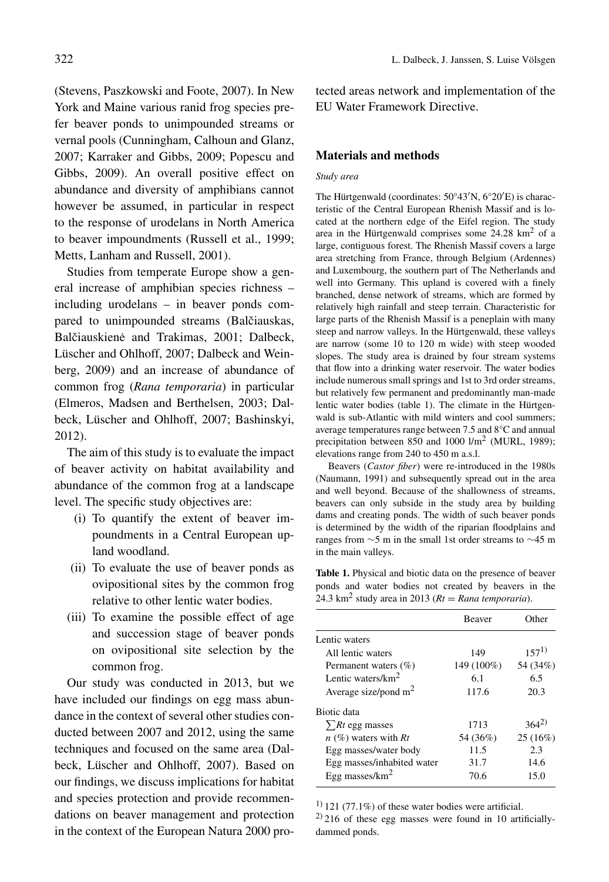(Stevens, Paszkowski and Foote, 2007). In New York and Maine various ranid frog species prefer beaver ponds to unimpounded streams or vernal pools (Cunningham, Calhoun and Glanz, 2007; Karraker and Gibbs, 2009; Popescu and Gibbs, 2009). An overall positive effect on abundance and diversity of amphibians cannot however be assumed, in particular in respect to the response of urodelans in North America to beaver impoundments (Russell et al., 1999; Metts, Lanham and Russell, 2001).

Studies from temperate Europe show a general increase of amphibian species richness – including urodelans – in beaver ponds compared to unimpounded streams (Balčiauskas, Balčiauskienė and Trakimas, 2001; Dalbeck, Lüscher and Ohlhoff, 2007; Dalbeck and Weinberg, 2009) and an increase of abundance of common frog (*Rana temporaria*) in particular (Elmeros, Madsen and Berthelsen, 2003; Dalbeck, Lüscher and Ohlhoff, 2007; Bashinskyi, 2012).

The aim of this study is to evaluate the impact of beaver activity on habitat availability and abundance of the common frog at a landscape level. The specific study objectives are:

- (i) To quantify the extent of beaver impoundments in a Central European upland woodland.
- (ii) To evaluate the use of beaver ponds as ovipositional sites by the common frog relative to other lentic water bodies.
- (iii) To examine the possible effect of age and succession stage of beaver ponds on ovipositional site selection by the common frog.

Our study was conducted in 2013, but we have included our findings on egg mass abundance in the context of several other studies conducted between 2007 and 2012, using the same techniques and focused on the same area (Dalbeck, Lüscher and Ohlhoff, 2007). Based on our findings, we discuss implications for habitat and species protection and provide recommendations on beaver management and protection in the context of the European Natura 2000 pro-

322 L. Dalbeck, J. Janssen, S. Luise Völsgen

tected areas network and implementation of the EU Water Framework Directive.

#### **Materials and methods**

#### *Study area*

The Hürtgenwald (coordinates: 50°43 N, 6°20 E) is characteristic of the Central European Rhenish Massif and is located at the northern edge of the Eifel region. The study area in the Hürtgenwald comprises some  $24.28 \text{ km}^2$  of a large, contiguous forest. The Rhenish Massif covers a large area stretching from France, through Belgium (Ardennes) and Luxembourg, the southern part of The Netherlands and well into Germany. This upland is covered with a finely branched, dense network of streams, which are formed by relatively high rainfall and steep terrain. Characteristic for large parts of the Rhenish Massif is a peneplain with many steep and narrow valleys. In the Hürtgenwald, these valleys are narrow (some 10 to 120 m wide) with steep wooded slopes. The study area is drained by four stream systems that flow into a drinking water reservoir. The water bodies include numerous small springs and 1st to 3rd order streams, but relatively few permanent and predominantly man-made lentic water bodies (table 1). The climate in the Hürtgenwald is sub-Atlantic with mild winters and cool summers; average temperatures range between 7.5 and 8°C and annual precipitation between 850 and 1000  $1/m^2$  (MURL, 1989); elevations range from 240 to 450 m a.s.l.

Beavers (*Castor fiber*) were re-introduced in the 1980s (Naumann, 1991) and subsequently spread out in the area and well beyond. Because of the shallowness of streams, beavers can only subside in the study area by building dams and creating ponds. The width of such beaver ponds is determined by the width of the riparian floodplains and ranges from ∼5 m in the small 1st order streams to ∼45 m in the main valleys.

**Table 1.** Physical and biotic data on the presence of beaver ponds and water bodies not created by beavers in the 24.3 km<sup>2</sup> study area in 2013 ( $Rt = R$ *ana temporaria*).

|                            | <b>Beaver</b> | Other     |
|----------------------------|---------------|-----------|
| Lentic waters              |               |           |
| All lentic waters          | 149           | $157^{1}$ |
| Permanent waters $(\% )$   | 149 (100%)    | 54 (34%)  |
| Lentic waters/ $km^2$      | 6.1           | 65        |
| Average size/pond $m2$     | 117.6         | 20.3      |
| Biotic data                |               |           |
| $\sum Rt$ egg masses       | 1713          | $364^{2}$ |
| $n$ (%) waters with Rt     | 54 (36%)      | 25(16%)   |
| Egg masses/water body      | 11.5          | 2.3       |
| Egg masses/inhabited water | 31.7          | 14.6      |
| Egg masses/ $km^2$         | 70.6          | 15.0      |

 $1)$  121 (77.1%) of these water bodies were artificial.  $^{2)}$  216 of these egg masses were found in 10 artificiallydammed ponds.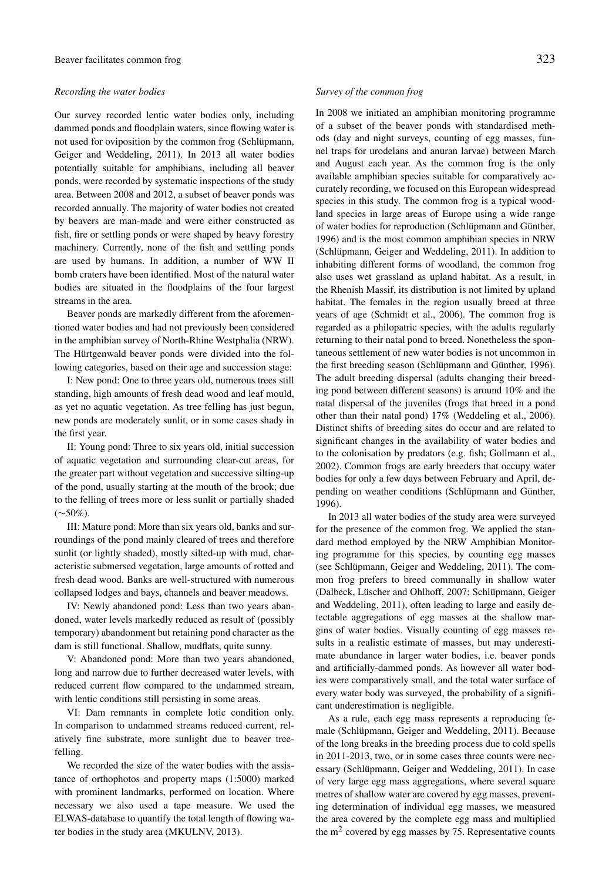#### *Recording the water bodies*

Our survey recorded lentic water bodies only, including dammed ponds and floodplain waters, since flowing water is not used for oviposition by the common frog (Schlüpmann, Geiger and Weddeling, 2011). In 2013 all water bodies potentially suitable for amphibians, including all beaver ponds, were recorded by systematic inspections of the study area. Between 2008 and 2012, a subset of beaver ponds was recorded annually. The majority of water bodies not created by beavers are man-made and were either constructed as fish, fire or settling ponds or were shaped by heavy forestry machinery. Currently, none of the fish and settling ponds are used by humans. In addition, a number of WW II bomb craters have been identified. Most of the natural water bodies are situated in the floodplains of the four largest streams in the area.

Beaver ponds are markedly different from the aforementioned water bodies and had not previously been considered in the amphibian survey of North-Rhine Westphalia (NRW). The Hürtgenwald beaver ponds were divided into the following categories, based on their age and succession stage:

I: New pond: One to three years old, numerous trees still standing, high amounts of fresh dead wood and leaf mould, as yet no aquatic vegetation. As tree felling has just begun, new ponds are moderately sunlit, or in some cases shady in the first year.

II: Young pond: Three to six years old, initial succession of aquatic vegetation and surrounding clear-cut areas, for the greater part without vegetation and successive silting-up of the pond, usually starting at the mouth of the brook; due to the felling of trees more or less sunlit or partially shaded (∼50%).

III: Mature pond: More than six years old, banks and surroundings of the pond mainly cleared of trees and therefore sunlit (or lightly shaded), mostly silted-up with mud, characteristic submersed vegetation, large amounts of rotted and fresh dead wood. Banks are well-structured with numerous collapsed lodges and bays, channels and beaver meadows.

IV: Newly abandoned pond: Less than two years abandoned, water levels markedly reduced as result of (possibly temporary) abandonment but retaining pond character as the dam is still functional. Shallow, mudflats, quite sunny.

V: Abandoned pond: More than two years abandoned, long and narrow due to further decreased water levels, with reduced current flow compared to the undammed stream, with lentic conditions still persisting in some areas.

VI: Dam remnants in complete lotic condition only. In comparison to undammed streams reduced current, relatively fine substrate, more sunlight due to beaver treefelling.

We recorded the size of the water bodies with the assistance of orthophotos and property maps (1:5000) marked with prominent landmarks, performed on location. Where necessary we also used a tape measure. We used the ELWAS-database to quantify the total length of flowing water bodies in the study area (MKULNV, 2013).

#### *Survey of the common frog*

In 2008 we initiated an amphibian monitoring programme of a subset of the beaver ponds with standardised methods (day and night surveys, counting of egg masses, funnel traps for urodelans and anuran larvae) between March and August each year. As the common frog is the only available amphibian species suitable for comparatively accurately recording, we focused on this European widespread species in this study. The common frog is a typical woodland species in large areas of Europe using a wide range of water bodies for reproduction (Schlüpmann and Günther, 1996) and is the most common amphibian species in NRW (Schlüpmann, Geiger and Weddeling, 2011). In addition to inhabiting different forms of woodland, the common frog also uses wet grassland as upland habitat. As a result, in the Rhenish Massif, its distribution is not limited by upland habitat. The females in the region usually breed at three years of age (Schmidt et al., 2006). The common frog is regarded as a philopatric species, with the adults regularly returning to their natal pond to breed. Nonetheless the spontaneous settlement of new water bodies is not uncommon in the first breeding season (Schlüpmann and Günther, 1996). The adult breeding dispersal (adults changing their breeding pond between different seasons) is around 10% and the natal dispersal of the juveniles (frogs that breed in a pond other than their natal pond) 17% (Weddeling et al., 2006). Distinct shifts of breeding sites do occur and are related to significant changes in the availability of water bodies and to the colonisation by predators (e.g. fish; Gollmann et al., 2002). Common frogs are early breeders that occupy water bodies for only a few days between February and April, depending on weather conditions (Schlüpmann and Günther, 1996).

In 2013 all water bodies of the study area were surveyed for the presence of the common frog. We applied the standard method employed by the NRW Amphibian Monitoring programme for this species, by counting egg masses (see Schlüpmann, Geiger and Weddeling, 2011). The common frog prefers to breed communally in shallow water (Dalbeck, Lüscher and Ohlhoff, 2007; Schlüpmann, Geiger and Weddeling, 2011), often leading to large and easily detectable aggregations of egg masses at the shallow margins of water bodies. Visually counting of egg masses results in a realistic estimate of masses, but may underestimate abundance in larger water bodies, i.e. beaver ponds and artificially-dammed ponds. As however all water bodies were comparatively small, and the total water surface of every water body was surveyed, the probability of a significant underestimation is negligible.

As a rule, each egg mass represents a reproducing female (Schlüpmann, Geiger and Weddeling, 2011). Because of the long breaks in the breeding process due to cold spells in 2011-2013, two, or in some cases three counts were necessary (Schlüpmann, Geiger and Weddeling, 2011). In case of very large egg mass aggregations, where several square metres of shallow water are covered by egg masses, preventing determination of individual egg masses, we measured the area covered by the complete egg mass and multiplied the  $m<sup>2</sup>$  covered by egg masses by 75. Representative counts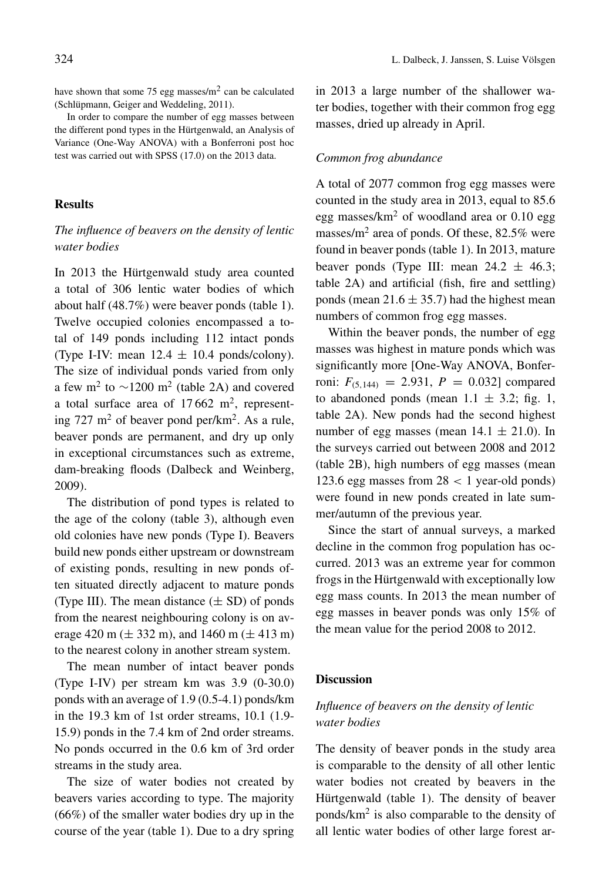have shown that some 75 egg masses/ $m<sup>2</sup>$  can be calculated (Schlüpmann, Geiger and Weddeling, 2011).

In order to compare the number of egg masses between the different pond types in the Hürtgenwald, an Analysis of Variance (One-Way ANOVA) with a Bonferroni post hoc test was carried out with SPSS (17.0) on the 2013 data.

#### **Results**

## *The influence of beavers on the density of lentic water bodies*

In 2013 the Hürtgenwald study area counted a total of 306 lentic water bodies of which about half (48.7%) were beaver ponds (table 1). Twelve occupied colonies encompassed a total of 149 ponds including 112 intact ponds (Type I-IV: mean  $12.4 \pm 10.4$  ponds/colony). The size of individual ponds varied from only a few m<sup>2</sup> to ~1200 m<sup>2</sup> (table 2A) and covered a total surface area of  $17662$  m<sup>2</sup>, representing 727 m<sup>2</sup> of beaver pond per/km<sup>2</sup>. As a rule, beaver ponds are permanent, and dry up only in exceptional circumstances such as extreme, dam-breaking floods (Dalbeck and Weinberg, 2009).

The distribution of pond types is related to the age of the colony (table 3), although even old colonies have new ponds (Type I). Beavers build new ponds either upstream or downstream of existing ponds, resulting in new ponds often situated directly adjacent to mature ponds (Type III). The mean distance  $(\pm SD)$  of ponds from the nearest neighbouring colony is on average 420 m ( $\pm$  332 m), and 1460 m ( $\pm$  413 m) to the nearest colony in another stream system.

The mean number of intact beaver ponds (Type I-IV) per stream km was 3.9 (0-30.0) ponds with an average of 1.9 (0.5-4.1) ponds/km in the 19.3 km of 1st order streams, 10.1 (1.9- 15.9) ponds in the 7.4 km of 2nd order streams. No ponds occurred in the 0.6 km of 3rd order streams in the study area.

The size of water bodies not created by beavers varies according to type. The majority (66%) of the smaller water bodies dry up in the course of the year (table 1). Due to a dry spring in 2013 a large number of the shallower water bodies, together with their common frog egg masses, dried up already in April.

## *Common frog abundance*

A total of 2077 common frog egg masses were counted in the study area in 2013, equal to 85.6 egg masses/ $km^2$  of woodland area or 0.10 egg masses/ $m^2$  area of ponds. Of these, 82.5% were found in beaver ponds (table 1). In 2013, mature beaver ponds (Type III: mean  $24.2 \pm 46.3$ ; table 2A) and artificial (fish, fire and settling) ponds (mean  $21.6 \pm 35.7$ ) had the highest mean numbers of common frog egg masses.

Within the beaver ponds, the number of egg masses was highest in mature ponds which was significantly more [One-Way ANOVA, Bonferroni:  $F_{(5,144)} = 2.931$ ,  $P = 0.032$  compared to abandoned ponds (mean  $1.1 \pm 3.2$ ; fig. 1, table 2A). New ponds had the second highest number of egg masses (mean  $14.1 \pm 21.0$ ). In the surveys carried out between 2008 and 2012 (table 2B), high numbers of egg masses (mean 123.6 egg masses from 28 *<* 1 year-old ponds) were found in new ponds created in late summer/autumn of the previous year.

Since the start of annual surveys, a marked decline in the common frog population has occurred. 2013 was an extreme year for common frogs in the Hürtgenwald with exceptionally low egg mass counts. In 2013 the mean number of egg masses in beaver ponds was only 15% of the mean value for the period 2008 to 2012.

#### **Discussion**

# *Influence of beavers on the density of lentic water bodies*

The density of beaver ponds in the study area is comparable to the density of all other lentic water bodies not created by beavers in the Hürtgenwald (table 1). The density of beaver ponds/km2 is also comparable to the density of all lentic water bodies of other large forest ar-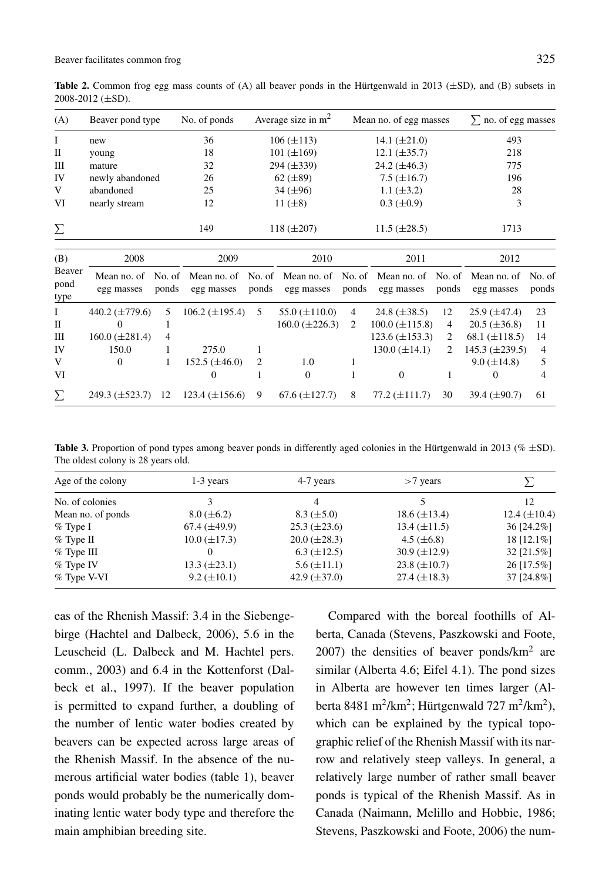**Table 2.** Common frog egg mass counts of (A) all beaver ponds in the Hürtgenwald in 2013 (±SD), and (B) subsets in 2008-2012 (±SD).

| (A)                    | Beaver pond type          |       | No. of ponds          |       | Average size in $m2$  |                | Mean no. of egg masses                                                                    |       | $\Sigma$ no. of egg masses |                 |
|------------------------|---------------------------|-------|-----------------------|-------|-----------------------|----------------|-------------------------------------------------------------------------------------------|-------|----------------------------|-----------------|
| Ι                      | new                       |       | 36                    |       | $106 (\pm 113)$       |                | 14.1 $(\pm 21.0)$                                                                         |       | 493                        |                 |
| $\mathbf{I}$           | young                     |       | 18                    |       | $101 (\pm 169)$       |                | $12.1 (\pm 35.7)$                                                                         |       | 218                        |                 |
| Ш                      | mature                    |       | 32                    |       | $294 (\pm 339)$       |                | $24.2 (\pm 46.3)$                                                                         |       | 775                        |                 |
| IV                     | newly abandoned           |       | 26                    |       | $62 (\pm 89)$         |                | $7.5 (\pm 16.7)$                                                                          |       | 196                        |                 |
| V                      | abandoned                 |       | 25                    |       | $34 (\pm 96)$         |                | 1.1 $(\pm 3.2)$                                                                           |       | 28                         |                 |
| VI                     | nearly stream             |       | 12                    |       | 11 $(\pm 8)$          |                | $0.3 \ (\pm 0.9)$                                                                         |       | 3                          |                 |
| Σ                      |                           |       | 149                   |       | $118 (\pm 207)$       |                | $11.5 (\pm 28.5)$                                                                         |       | 1713                       |                 |
| (B)                    | 2008                      |       | 2009                  |       | 2010                  |                | 2011                                                                                      |       | 2012                       |                 |
| Beaver<br>pond<br>type | Mean no. of<br>egg masses | ponds | egg masses            | ponds | egg masses            | ponds          | No. of Mean no. of No. of Mean no. of No. of Mean no. of No. of Mean no. of<br>egg masses | ponds | egg masses                 | No. of<br>ponds |
| I                      | 440.2 $(\pm 779.6)$       | 5     | $106.2 (\pm 195.4)$   | 5     | 55.0 $(\pm 110.0)$    | $\overline{4}$ | 24.8 $(\pm 38.5)$                                                                         | 12    | $25.9 \ (\pm 47.4)$        | 23              |
| П                      | 0                         | 1     |                       |       | $160.0 \ (\pm 226.3)$ | 2              | $100.0 \ (\pm 115.8)$                                                                     | 4     | $20.5 (\pm 36.8)$          | 11              |
| Ш                      | $160.0 (\pm 281.4)$       | 4     |                       |       |                       |                | $123.6 (\pm 153.3)$                                                                       | 2     | 68.1 $(\pm 118.5)$         | 14              |
| IV                     | 150.0                     | 1     | 275.0                 | 1     |                       |                | $130.0 \ (\pm 14.1)$                                                                      | 2     | $145.3 \ (\pm 239.5)$      | 4               |
| V                      | $\Omega$                  |       | $152.5 (\pm 46.0)$    | 2     | 1.0                   | 1              |                                                                                           |       | $9.0 \ (\pm 14.8)$         | 5               |
| VI                     |                           |       | $\Omega$              | 1     | $\Omega$              | 1              | $\Omega$                                                                                  | 1     | $\Omega$                   | 4               |
| Σ                      | $249.3 (\pm 523.7)$       | 12    | $123.4 \ (\pm 156.6)$ | 9     | $67.6 (\pm 127.7)$    | 8              | $77.2 (\pm 111.7)$                                                                        | 30    | 39.4 $(\pm 90.7)$          | 61              |

Table 3. Proportion of pond types among beaver ponds in differently aged colonies in the Hürtgenwald in 2013 (%  $\pm$ SD). The oldest colony is 28 years old.

| Age of the colony | 1-3 years           | 4-7 years           | $>7$ years          |                   |  |
|-------------------|---------------------|---------------------|---------------------|-------------------|--|
| No. of colonies   |                     | 4                   |                     | 12                |  |
| Mean no. of ponds | $8.0 \ (\pm 6.2)$   | $8.3 \ (\pm 5.0)$   | $18.6 (\pm 13.4)$   | 12.4 $(\pm 10.4)$ |  |
| $%$ Type I        | $67.4 \ (\pm 49.9)$ | $25.3 \ (\pm 23.6)$ | $13.4 \ (\pm 11.5)$ | 36 [24.2%]        |  |
| $%$ Type II       | $10.0 \ (\pm 17.3)$ | $20.0 (\pm 28.3)$   | 4.5 $(\pm 6.8)$     | 18 [12.1%]        |  |
| $%$ Type III      | 0                   | $6.3 \ (\pm 12.5)$  | $30.9 \ (\pm 12.9)$ | 32 [21.5%]        |  |
| $%$ Type IV       | $13.3 \ (\pm 23.1)$ | $5.6 \ (\pm 11.1)$  | $23.8 \ (\pm 10.7)$ | 26 [17.5%]        |  |
| % Type V-VI       | $9.2 \ (\pm 10.1)$  | 42.9 $(\pm 37.0)$   | $27.4 \ (\pm 18.3)$ | 37 [24.8%]        |  |

eas of the Rhenish Massif: 3.4 in the Siebengebirge (Hachtel and Dalbeck, 2006), 5.6 in the Leuscheid (L. Dalbeck and M. Hachtel pers. comm., 2003) and 6.4 in the Kottenforst (Dalbeck et al., 1997). If the beaver population is permitted to expand further, a doubling of the number of lentic water bodies created by beavers can be expected across large areas of the Rhenish Massif. In the absence of the numerous artificial water bodies (table 1), beaver ponds would probably be the numerically dominating lentic water body type and therefore the main amphibian breeding site.

Compared with the boreal foothills of Alberta, Canada (Stevens, Paszkowski and Foote,  $2007$ ) the densities of beaver ponds/ $km<sup>2</sup>$  are similar (Alberta 4.6; Eifel 4.1). The pond sizes in Alberta are however ten times larger (Alberta 8481 m<sup>2</sup>/km<sup>2</sup>; Hürtgenwald 727 m<sup>2</sup>/km<sup>2</sup>), which can be explained by the typical topographic relief of the Rhenish Massif with its narrow and relatively steep valleys. In general, a relatively large number of rather small beaver ponds is typical of the Rhenish Massif. As in Canada (Naimann, Melillo and Hobbie, 1986; Stevens, Paszkowski and Foote, 2006) the num-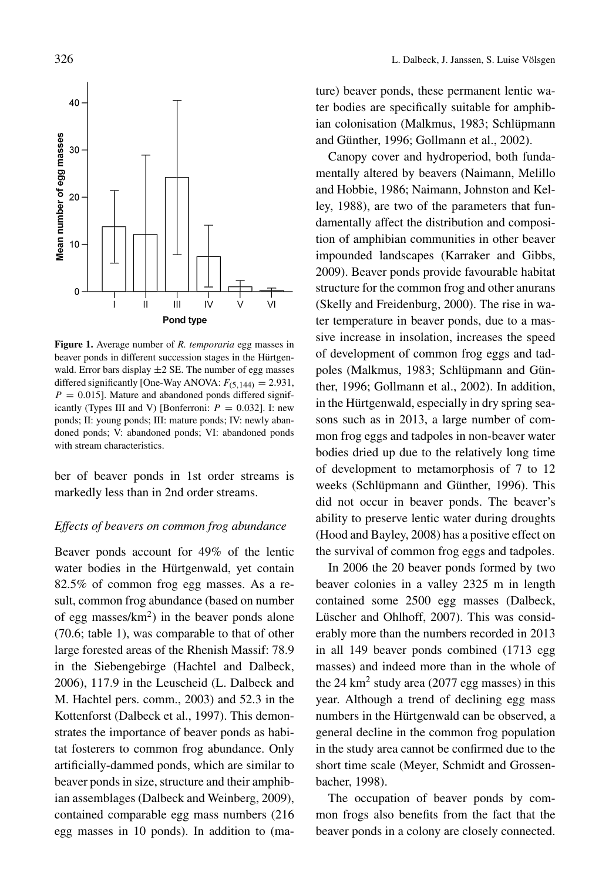

**Figure 1.** Average number of *R. temporaria* egg masses in beaver ponds in different succession stages in the Hürtgenwald. Error bars display  $\pm 2$  SE. The number of egg masses differed significantly [One-Way ANOVA:  $F_{(5,144)} = 2.931$ ,  $P = 0.015$ ]. Mature and abandoned ponds differed significantly (Types III and V) [Bonferroni:  $P = 0.032$ ]. I: new ponds; II: young ponds; III: mature ponds; IV: newly abandoned ponds; V: abandoned ponds; VI: abandoned ponds with stream characteristics.

ber of beaver ponds in 1st order streams is markedly less than in 2nd order streams.

#### *Effects of beavers on common frog abundance*

Beaver ponds account for 49% of the lentic water bodies in the Hürtgenwald, yet contain 82.5% of common frog egg masses. As a result, common frog abundance (based on number of egg masses/ $km^2$ ) in the beaver ponds alone (70.6; table 1), was comparable to that of other large forested areas of the Rhenish Massif: 78.9 in the Siebengebirge (Hachtel and Dalbeck, 2006), 117.9 in the Leuscheid (L. Dalbeck and M. Hachtel pers. comm., 2003) and 52.3 in the Kottenforst (Dalbeck et al., 1997). This demonstrates the importance of beaver ponds as habitat fosterers to common frog abundance. Only artificially-dammed ponds, which are similar to beaver ponds in size, structure and their amphibian assemblages (Dalbeck and Weinberg, 2009), contained comparable egg mass numbers (216 egg masses in 10 ponds). In addition to (mature) beaver ponds, these permanent lentic water bodies are specifically suitable for amphibian colonisation (Malkmus, 1983; Schlüpmann and Günther, 1996; Gollmann et al., 2002).

Canopy cover and hydroperiod, both fundamentally altered by beavers (Naimann, Melillo and Hobbie, 1986; Naimann, Johnston and Kelley, 1988), are two of the parameters that fundamentally affect the distribution and composition of amphibian communities in other beaver impounded landscapes (Karraker and Gibbs, 2009). Beaver ponds provide favourable habitat structure for the common frog and other anurans (Skelly and Freidenburg, 2000). The rise in water temperature in beaver ponds, due to a massive increase in insolation, increases the speed of development of common frog eggs and tadpoles (Malkmus, 1983; Schlüpmann and Günther, 1996; Gollmann et al., 2002). In addition, in the Hürtgenwald, especially in dry spring seasons such as in 2013, a large number of common frog eggs and tadpoles in non-beaver water bodies dried up due to the relatively long time of development to metamorphosis of 7 to 12 weeks (Schlüpmann and Günther, 1996). This did not occur in beaver ponds. The beaver's ability to preserve lentic water during droughts (Hood and Bayley, 2008) has a positive effect on the survival of common frog eggs and tadpoles.

In 2006 the 20 beaver ponds formed by two beaver colonies in a valley 2325 m in length contained some 2500 egg masses (Dalbeck, Lüscher and Ohlhoff, 2007). This was considerably more than the numbers recorded in 2013 in all 149 beaver ponds combined (1713 egg masses) and indeed more than in the whole of the 24 km<sup>2</sup> study area (2077 egg masses) in this year. Although a trend of declining egg mass numbers in the Hürtgenwald can be observed, a general decline in the common frog population in the study area cannot be confirmed due to the short time scale (Meyer, Schmidt and Grossenbacher, 1998).

The occupation of beaver ponds by common frogs also benefits from the fact that the beaver ponds in a colony are closely connected.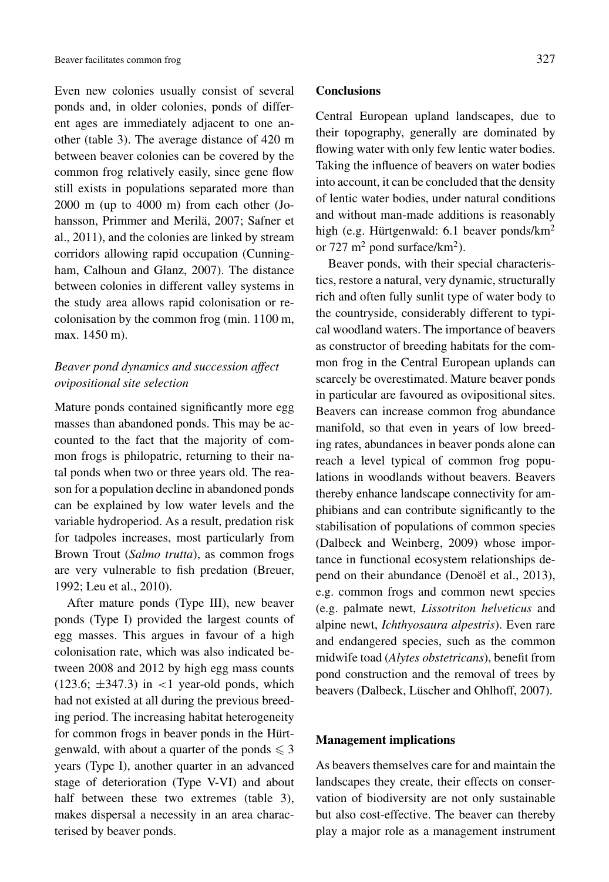Even new colonies usually consist of several ponds and, in older colonies, ponds of different ages are immediately adjacent to one another (table 3). The average distance of 420 m between beaver colonies can be covered by the common frog relatively easily, since gene flow still exists in populations separated more than 2000 m (up to 4000 m) from each other (Johansson, Primmer and Merilä, 2007; Safner et al., 2011), and the colonies are linked by stream corridors allowing rapid occupation (Cunningham, Calhoun and Glanz, 2007). The distance between colonies in different valley systems in the study area allows rapid colonisation or recolonisation by the common frog (min. 1100 m, max. 1450 m).

# *Beaver pond dynamics and succession affect ovipositional site selection*

Mature ponds contained significantly more egg masses than abandoned ponds. This may be accounted to the fact that the majority of common frogs is philopatric, returning to their natal ponds when two or three years old. The reason for a population decline in abandoned ponds can be explained by low water levels and the variable hydroperiod. As a result, predation risk for tadpoles increases, most particularly from Brown Trout (*Salmo trutta*), as common frogs are very vulnerable to fish predation (Breuer, 1992; Leu et al., 2010).

After mature ponds (Type III), new beaver ponds (Type I) provided the largest counts of egg masses. This argues in favour of a high colonisation rate, which was also indicated between 2008 and 2012 by high egg mass counts (123.6; ±347.3) in *<*1 year-old ponds, which had not existed at all during the previous breeding period. The increasing habitat heterogeneity for common frogs in beaver ponds in the Hürtgenwald, with about a quarter of the ponds  $\leq 3$ years (Type I), another quarter in an advanced stage of deterioration (Type V-VI) and about half between these two extremes (table 3), makes dispersal a necessity in an area characterised by beaver ponds.

#### **Conclusions**

Central European upland landscapes, due to their topography, generally are dominated by flowing water with only few lentic water bodies. Taking the influence of beavers on water bodies into account, it can be concluded that the density of lentic water bodies, under natural conditions and without man-made additions is reasonably high (e.g. Hürtgenwald: 6.1 beaver ponds/km<sup>2</sup> or 727  $m^2$  pond surface/km<sup>2</sup>).

Beaver ponds, with their special characteristics, restore a natural, very dynamic, structurally rich and often fully sunlit type of water body to the countryside, considerably different to typical woodland waters. The importance of beavers as constructor of breeding habitats for the common frog in the Central European uplands can scarcely be overestimated. Mature beaver ponds in particular are favoured as ovipositional sites. Beavers can increase common frog abundance manifold, so that even in years of low breeding rates, abundances in beaver ponds alone can reach a level typical of common frog populations in woodlands without beavers. Beavers thereby enhance landscape connectivity for amphibians and can contribute significantly to the stabilisation of populations of common species (Dalbeck and Weinberg, 2009) whose importance in functional ecosystem relationships depend on their abundance (Denoël et al., 2013), e.g. common frogs and common newt species (e.g. palmate newt, *Lissotriton helveticus* and alpine newt, *Ichthyosaura alpestris*). Even rare and endangered species, such as the common midwife toad (*Alytes obstetricans*), benefit from pond construction and the removal of trees by beavers (Dalbeck, Lüscher and Ohlhoff, 2007).

## **Management implications**

As beavers themselves care for and maintain the landscapes they create, their effects on conservation of biodiversity are not only sustainable but also cost-effective. The beaver can thereby play a major role as a management instrument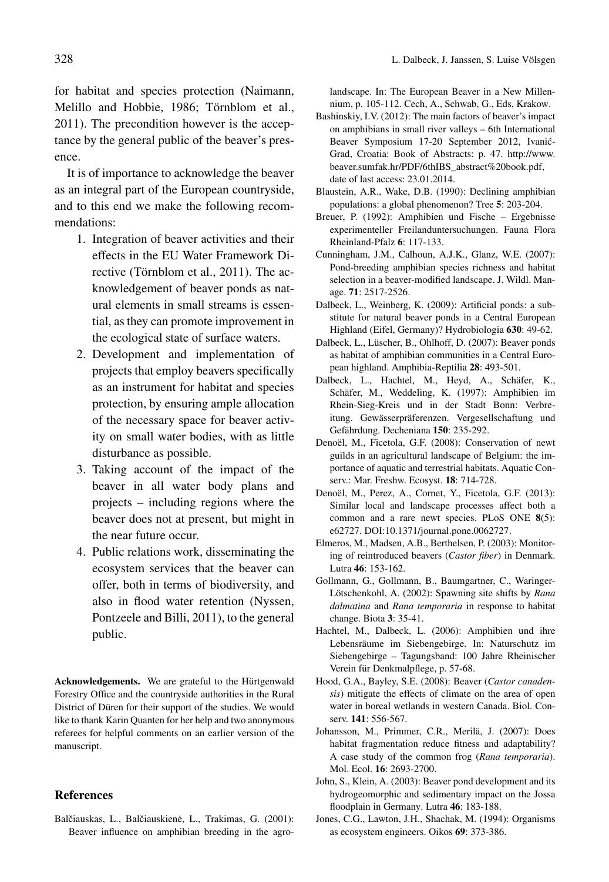for habitat and species protection (Naimann, Melillo and Hobbie, 1986; Törnblom et al., 2011). The precondition however is the acceptance by the general public of the beaver's presence.

It is of importance to acknowledge the beaver as an integral part of the European countryside, and to this end we make the following recommendations:

- 1. Integration of beaver activities and their effects in the EU Water Framework Directive (Törnblom et al., 2011). The acknowledgement of beaver ponds as natural elements in small streams is essential, as they can promote improvement in the ecological state of surface waters.
- 2. Development and implementation of projects that employ beavers specifically as an instrument for habitat and species protection, by ensuring ample allocation of the necessary space for beaver activity on small water bodies, with as little disturbance as possible.
- 3. Taking account of the impact of the beaver in all water body plans and projects – including regions where the beaver does not at present, but might in the near future occur.
- 4. Public relations work, disseminating the ecosystem services that the beaver can offer, both in terms of biodiversity, and also in flood water retention (Nyssen, Pontzeele and Billi, 2011), to the general public.

**Acknowledgements.** We are grateful to the Hürtgenwald Forestry Office and the countryside authorities in the Rural District of Düren for their support of the studies. We would like to thank Karin Quanten for her help and two anonymous referees for helpful comments on an earlier version of the manuscript.

## **References**

Balčiauskas, L., Balčiauskienė, L., Trakimas, G. (2001): Beaver influence on amphibian breeding in the agro-

landscape. In: The European Beaver in a New Millennium, p. 105-112. Cech, A., Schwab, G., Eds, Krakow.

- Bashinskiy, I.V. (2012): The main factors of beaver's impact on amphibians in small river valleys – 6th International Beaver Symposium 17-20 September 2012, Ivanic-´ Grad, Croatia: Book of Abstracts: p. 47. [http://www.](http://www.beaver.sumfak.hr/PDF/6thIBS_abstract%20book.pdf) [beaver.sumfak.hr/PDF/6thIBS\\_abstract%20book.pdf](http://www.beaver.sumfak.hr/PDF/6thIBS_abstract%20book.pdf), date of last access: 23.01.2014.
- Blaustein, A.R., Wake, D.B. (1990): Declining amphibian populations: a global phenomenon? Tree **5**: 203-204.
- Breuer, P. (1992): Amphibien und Fische Ergebnisse experimenteller Freilanduntersuchungen. Fauna Flora Rheinland-Pfalz **6**: 117-133.
- Cunningham, J.M., Calhoun, A.J.K., Glanz, W.E. (2007): Pond-breeding amphibian species richness and habitat selection in a beaver-modified landscape. J. Wildl. Manage. **71**: 2517-2526.
- Dalbeck, L., Weinberg, K. (2009): Artificial ponds: a substitute for natural beaver ponds in a Central European Highland (Eifel, Germany)? Hydrobiologia **630**: 49-62.
- Dalbeck, L., Lüscher, B., Ohlhoff, D. (2007): Beaver ponds as habitat of amphibian communities in a Central European highland. Amphibia-Reptilia **28**: 493-501.
- Dalbeck, L., Hachtel, M., Heyd, A., Schäfer, K., Schäfer, M., Weddeling, K. (1997): Amphibien im Rhein-Sieg-Kreis und in der Stadt Bonn: Verbreitung. Gewässerpräferenzen. Vergesellschaftung und Gefährdung. Decheniana **150**: 235-292.
- Denoël, M., Ficetola, G.F. (2008): Conservation of newt guilds in an agricultural landscape of Belgium: the importance of aquatic and terrestrial habitats. Aquatic Conserv.: Mar. Freshw. Ecosyst. **18**: 714-728.
- Denoël, M., Perez, A., Cornet, Y., Ficetola, G.F. (2013): Similar local and landscape processes affect both a common and a rare newt species. PLoS ONE **8**(5): e62727. DOI:[10.1371/journal.pone.0062727.](http://dx.doi.org/10.1371/journal.pone.0062727)
- Elmeros, M., Madsen, A.B., Berthelsen, P. (2003): Monitoring of reintroduced beavers (*Castor fiber*) in Denmark. Lutra **46**: 153-162.
- Gollmann, G., Gollmann, B., Baumgartner, C., Waringer-Lötschenkohl, A. (2002): Spawning site shifts by *Rana dalmatina* and *Rana temporaria* in response to habitat change. Biota **3**: 35-41.
- Hachtel, M., Dalbeck, L. (2006): Amphibien und ihre Lebensräume im Siebengebirge. In: Naturschutz im Siebengebirge – Tagungsband: 100 Jahre Rheinischer Verein für Denkmalpflege, p. 57-68.
- Hood, G.A., Bayley, S.E. (2008): Beaver (*Castor canadensis*) mitigate the effects of climate on the area of open water in boreal wetlands in western Canada. Biol. Conserv. **141**: 556-567.
- Johansson, M., Primmer, C.R., Merilä, J. (2007): Does habitat fragmentation reduce fitness and adaptability? A case study of the common frog (*Rana temporaria*). Mol. Ecol. **16**: 2693-2700.
- John, S., Klein, A. (2003): Beaver pond development and its hydrogeomorphic and sedimentary impact on the Jossa floodplain in Germany. Lutra **46**: 183-188.
- Jones, C.G., Lawton, J.H., Shachak, M. (1994): Organisms as ecosystem engineers. Oikos **69**: 373-386.